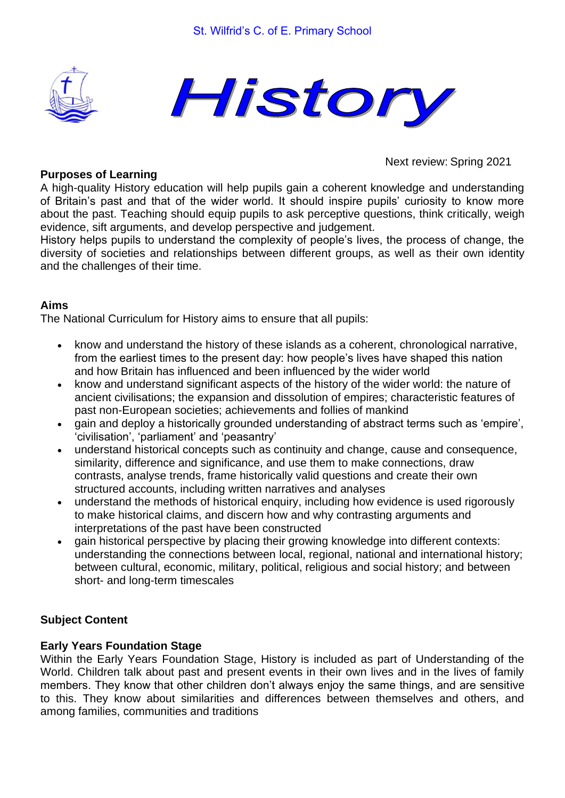



### **Purposes of Learning**

Next review: Spring 2021

A high-quality History education will help pupils gain a coherent knowledge and understanding of Britain's past and that of the wider world. It should inspire pupils' curiosity to know more about the past. Teaching should equip pupils to ask perceptive questions, think critically, weigh evidence, sift arguments, and develop perspective and judgement.

History helps pupils to understand the complexity of people's lives, the process of change, the diversity of societies and relationships between different groups, as well as their own identity and the challenges of their time.

### **Aims**

The National Curriculum for History aims to ensure that all pupils:

- know and understand the history of these islands as a coherent, chronological narrative, from the earliest times to the present day: how people's lives have shaped this nation and how Britain has influenced and been influenced by the wider world
- know and understand significant aspects of the history of the wider world: the nature of ancient civilisations; the expansion and dissolution of empires; characteristic features of past non-European societies; achievements and follies of mankind
- gain and deploy a historically grounded understanding of abstract terms such as 'empire', 'civilisation', 'parliament' and 'peasantry'
- understand historical concepts such as continuity and change, cause and consequence, similarity, difference and significance, and use them to make connections, draw contrasts, analyse trends, frame historically valid questions and create their own structured accounts, including written narratives and analyses
- understand the methods of historical enquiry, including how evidence is used rigorously to make historical claims, and discern how and why contrasting arguments and interpretations of the past have been constructed
- gain historical perspective by placing their growing knowledge into different contexts: understanding the connections between local, regional, national and international history; between cultural, economic, military, political, religious and social history; and between short- and long-term timescales

## **Subject Content**

## **Early Years Foundation Stage**

Within the Early Years Foundation Stage, History is included as part of Understanding of the World. Children talk about past and present events in their own lives and in the lives of family members. They know that other children don't always enjoy the same things, and are sensitive to this. They know about similarities and differences between themselves and others, and among families, communities and traditions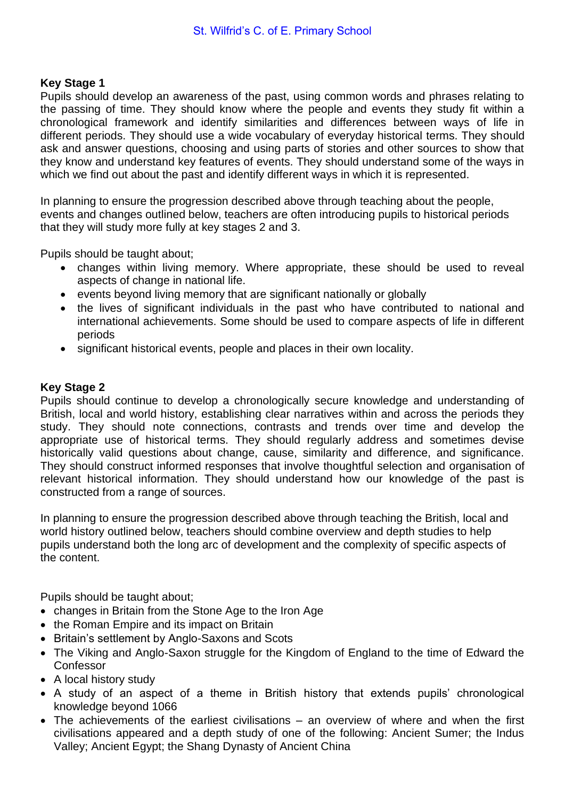## **Key Stage 1**

Pupils should develop an awareness of the past, using common words and phrases relating to the passing of time. They should know where the people and events they study fit within a chronological framework and identify similarities and differences between ways of life in different periods. They should use a wide vocabulary of everyday historical terms. They should ask and answer questions, choosing and using parts of stories and other sources to show that they know and understand key features of events. They should understand some of the ways in which we find out about the past and identify different ways in which it is represented.

In planning to ensure the progression described above through teaching about the people, events and changes outlined below, teachers are often introducing pupils to historical periods that they will study more fully at key stages 2 and 3.

Pupils should be taught about;

- changes within living memory. Where appropriate, these should be used to reveal aspects of change in national life.
- events beyond living memory that are significant nationally or globally
- the lives of significant individuals in the past who have contributed to national and international achievements. Some should be used to compare aspects of life in different periods
- significant historical events, people and places in their own locality.

#### **Key Stage 2**

Pupils should continue to develop a chronologically secure knowledge and understanding of British, local and world history, establishing clear narratives within and across the periods they study. They should note connections, contrasts and trends over time and develop the appropriate use of historical terms. They should regularly address and sometimes devise historically valid questions about change, cause, similarity and difference, and significance. They should construct informed responses that involve thoughtful selection and organisation of relevant historical information. They should understand how our knowledge of the past is constructed from a range of sources.

In planning to ensure the progression described above through teaching the British, local and world history outlined below, teachers should combine overview and depth studies to help pupils understand both the long arc of development and the complexity of specific aspects of the content.

Pupils should be taught about;

- changes in Britain from the Stone Age to the Iron Age
- the Roman Empire and its impact on Britain
- Britain's settlement by Anglo-Saxons and Scots
- The Viking and Anglo-Saxon struggle for the Kingdom of England to the time of Edward the Confessor
- A local history study
- A study of an aspect of a theme in British history that extends pupils' chronological knowledge beyond 1066
- The achievements of the earliest civilisations an overview of where and when the first civilisations appeared and a depth study of one of the following: Ancient Sumer; the Indus Valley; Ancient Egypt; the Shang Dynasty of Ancient China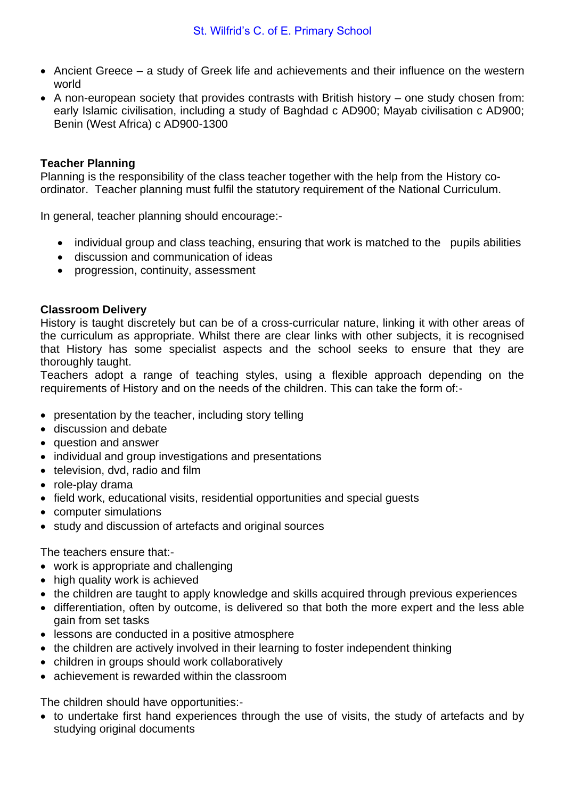- Ancient Greece a study of Greek life and achievements and their influence on the western world
- A non-european society that provides contrasts with British history one study chosen from: early Islamic civilisation, including a study of Baghdad c AD900; Mayab civilisation c AD900; Benin (West Africa) c AD900-1300

# **Teacher Planning**

Planning is the responsibility of the class teacher together with the help from the History coordinator. Teacher planning must fulfil the statutory requirement of the National Curriculum.

In general, teacher planning should encourage:-

- individual group and class teaching, ensuring that work is matched to the pupils abilities
- discussion and communication of ideas
- progression, continuity, assessment

# **Classroom Delivery**

History is taught discretely but can be of a cross-curricular nature, linking it with other areas of the curriculum as appropriate. Whilst there are clear links with other subjects, it is recognised that History has some specialist aspects and the school seeks to ensure that they are thoroughly taught.

Teachers adopt a range of teaching styles, using a flexible approach depending on the requirements of History and on the needs of the children. This can take the form of:-

- presentation by the teacher, including story telling
- discussion and debate
- question and answer
- individual and group investigations and presentations
- television, dvd, radio and film
- role-play drama
- field work, educational visits, residential opportunities and special guests
- computer simulations
- study and discussion of artefacts and original sources

The teachers ensure that:-

- work is appropriate and challenging
- high quality work is achieved
- the children are taught to apply knowledge and skills acquired through previous experiences
- differentiation, often by outcome, is delivered so that both the more expert and the less able gain from set tasks
- lessons are conducted in a positive atmosphere
- the children are actively involved in their learning to foster independent thinking
- children in groups should work collaboratively
- achievement is rewarded within the classroom

The children should have opportunities:-

• to undertake first hand experiences through the use of visits, the study of artefacts and by studying original documents